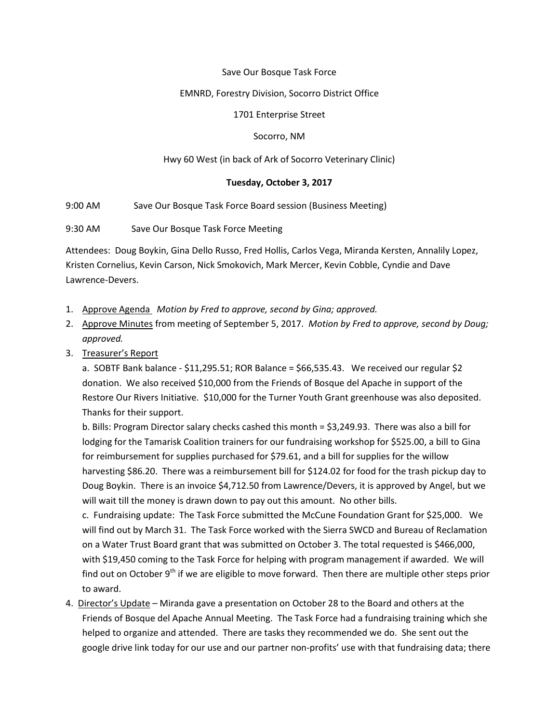## Save Our Bosque Task Force

## EMNRD, Forestry Division, Socorro District Office

## 1701 Enterprise Street

## Socorro, NM

# Hwy 60 West (in back of Ark of Socorro Veterinary Clinic)

# **Tuesday, October 3, 2017**

9:00 AM Save Our Bosque Task Force Board session (Business Meeting)

9:30 AM Save Our Bosque Task Force Meeting

Attendees: Doug Boykin, Gina Dello Russo, Fred Hollis, Carlos Vega, Miranda Kersten, Annalily Lopez, Kristen Cornelius, Kevin Carson, Nick Smokovich, Mark Mercer, Kevin Cobble, Cyndie and Dave Lawrence-Devers.

- 1. Approve Agenda *Motion by Fred to approve, second by Gina; approved.*
- 2. Approve Minutes from meeting of September 5, 2017. *Motion by Fred to approve, second by Doug; approved.*
- 3. Treasurer's Report

a. SOBTF Bank balance - \$11,295.51; ROR Balance = \$66,535.43. We received our regular \$2 donation. We also received \$10,000 from the Friends of Bosque del Apache in support of the Restore Our Rivers Initiative. \$10,000 for the Turner Youth Grant greenhouse was also deposited. Thanks for their support.

b. Bills: Program Director salary checks cashed this month = \$3,249.93. There was also a bill for lodging for the Tamarisk Coalition trainers for our fundraising workshop for \$525.00, a bill to Gina for reimbursement for supplies purchased for \$79.61, and a bill for supplies for the willow harvesting \$86.20. There was a reimbursement bill for \$124.02 for food for the trash pickup day to Doug Boykin. There is an invoice \$4,712.50 from Lawrence/Devers, it is approved by Angel, but we will wait till the money is drawn down to pay out this amount. No other bills.

c. Fundraising update: The Task Force submitted the McCune Foundation Grant for \$25,000. We will find out by March 31. The Task Force worked with the Sierra SWCD and Bureau of Reclamation on a Water Trust Board grant that was submitted on October 3. The total requested is \$466,000, with \$19,450 coming to the Task Force for helping with program management if awarded. We will find out on October  $9<sup>th</sup>$  if we are eligible to move forward. Then there are multiple other steps prior to award.

4. Director's Update – Miranda gave a presentation on October 28 to the Board and others at the Friends of Bosque del Apache Annual Meeting. The Task Force had a fundraising training which she helped to organize and attended. There are tasks they recommended we do. She sent out the google drive link today for our use and our partner non-profits' use with that fundraising data; there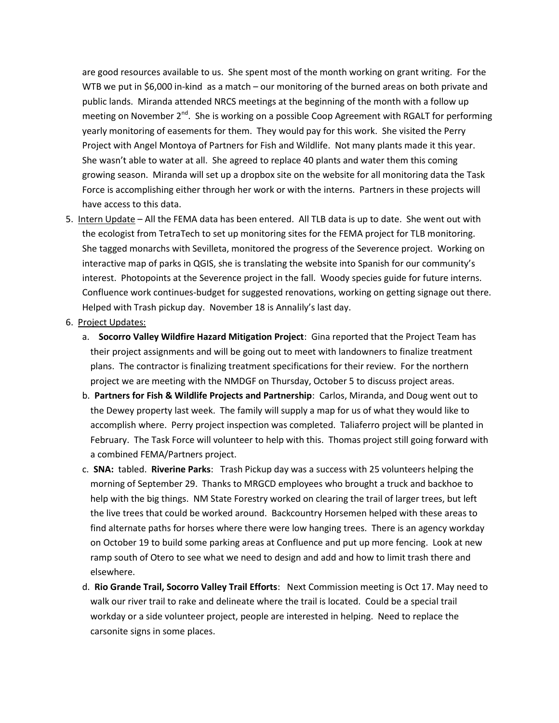are good resources available to us. She spent most of the month working on grant writing. For the WTB we put in \$6,000 in-kind as a match – our monitoring of the burned areas on both private and public lands. Miranda attended NRCS meetings at the beginning of the month with a follow up meeting on November  $2<sup>nd</sup>$ . She is working on a possible Coop Agreement with RGALT for performing yearly monitoring of easements for them. They would pay for this work. She visited the Perry Project with Angel Montoya of Partners for Fish and Wildlife. Not many plants made it this year. She wasn't able to water at all. She agreed to replace 40 plants and water them this coming growing season. Miranda will set up a dropbox site on the website for all monitoring data the Task Force is accomplishing either through her work or with the interns. Partners in these projects will have access to this data.

- 5. Intern Update All the FEMA data has been entered. All TLB data is up to date. She went out with the ecologist from TetraTech to set up monitoring sites for the FEMA project for TLB monitoring. She tagged monarchs with Sevilleta, monitored the progress of the Severence project. Working on interactive map of parks in QGIS, she is translating the website into Spanish for our community's interest. Photopoints at the Severence project in the fall. Woody species guide for future interns. Confluence work continues-budget for suggested renovations, working on getting signage out there. Helped with Trash pickup day. November 18 is Annalily's last day.
- 6. Project Updates:
	- a. **Socorro Valley Wildfire Hazard Mitigation Project**: Gina reported that the Project Team has their project assignments and will be going out to meet with landowners to finalize treatment plans. The contractor is finalizing treatment specifications for their review. For the northern project we are meeting with the NMDGF on Thursday, October 5 to discuss project areas.
	- b. **Partners for Fish & Wildlife Projects and Partnership**: Carlos, Miranda, and Doug went out to the Dewey property last week. The family will supply a map for us of what they would like to accomplish where. Perry project inspection was completed. Taliaferro project will be planted in February. The Task Force will volunteer to help with this. Thomas project still going forward with a combined FEMA/Partners project.
	- c. **SNA:** tabled. **Riverine Parks**: Trash Pickup day was a success with 25 volunteers helping the morning of September 29. Thanks to MRGCD employees who brought a truck and backhoe to help with the big things. NM State Forestry worked on clearing the trail of larger trees, but left the live trees that could be worked around. Backcountry Horsemen helped with these areas to find alternate paths for horses where there were low hanging trees. There is an agency workday on October 19 to build some parking areas at Confluence and put up more fencing. Look at new ramp south of Otero to see what we need to design and add and how to limit trash there and elsewhere.
	- d. **Rio Grande Trail, Socorro Valley Trail Efforts**: Next Commission meeting is Oct 17. May need to walk our river trail to rake and delineate where the trail is located. Could be a special trail workday or a side volunteer project, people are interested in helping. Need to replace the carsonite signs in some places.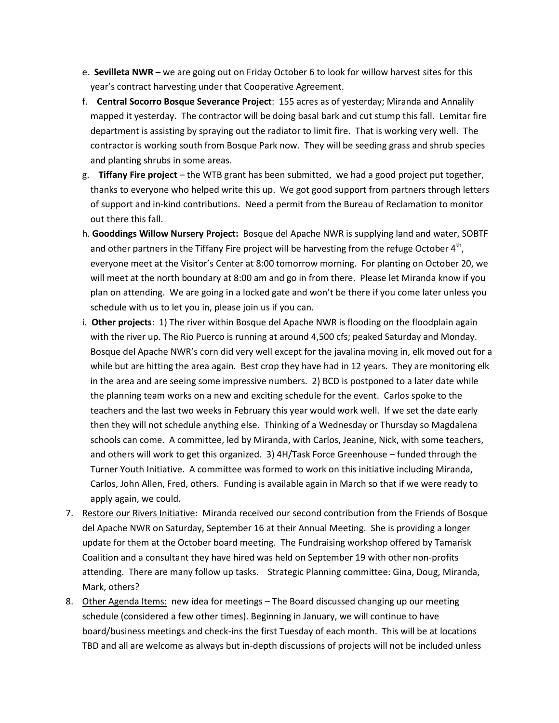- e. **Sevilleta NWR –** we are going out on Friday October 6 to look for willow harvest sites for this year's contract harvesting under that Cooperative Agreement.
- f. **Central Socorro Bosque Severance Project**: 155 acres as of yesterday; Miranda and Annalily mapped it yesterday. The contractor will be doing basal bark and cut stump this fall. Lemitar fire department is assisting by spraying out the radiator to limit fire. That is working very well. The contractor is working south from Bosque Park now. They will be seeding grass and shrub species and planting shrubs in some areas.
- g. **Tiffany Fire project** the WTB grant has been submitted, we had a good project put together, thanks to everyone who helped write this up. We got good support from partners through letters of support and in-kind contributions. Need a permit from the Bureau of Reclamation to monitor out there this fall.
- h. **Gooddings Willow Nursery Project:** Bosque del Apache NWR is supplying land and water, SOBTF and other partners in the Tiffany Fire project will be harvesting from the refuge October  $4<sup>th</sup>$ , everyone meet at the Visitor's Center at 8:00 tomorrow morning. For planting on October 20, we will meet at the north boundary at 8:00 am and go in from there. Please let Miranda know if you plan on attending. We are going in a locked gate and won't be there if you come later unless you schedule with us to let you in, please join us if you can.
- i. **Other projects**: 1) The river within Bosque del Apache NWR is flooding on the floodplain again with the river up. The Rio Puerco is running at around 4,500 cfs; peaked Saturday and Monday. Bosque del Apache NWR's corn did very well except for the javalina moving in, elk moved out for a while but are hitting the area again. Best crop they have had in 12 years. They are monitoring elk in the area and are seeing some impressive numbers. 2) BCD is postponed to a later date while the planning team works on a new and exciting schedule for the event. Carlos spoke to the teachers and the last two weeks in February this year would work well. If we set the date early then they will not schedule anything else. Thinking of a Wednesday or Thursday so Magdalena schools can come. A committee, led by Miranda, with Carlos, Jeanine, Nick, with some teachers, and others will work to get this organized. 3) 4H/Task Force Greenhouse – funded through the Turner Youth Initiative. A committee was formed to work on this initiative including Miranda, Carlos, John Allen, Fred, others. Funding is available again in March so that if we were ready to apply again, we could.
- 7. Restore our Rivers Initiative: Miranda received our second contribution from the Friends of Bosque del Apache NWR on Saturday, September 16 at their Annual Meeting. She is providing a longer update for them at the October board meeting. The Fundraising workshop offered by Tamarisk Coalition and a consultant they have hired was held on September 19 with other non-profits attending. There are many follow up tasks. Strategic Planning committee: Gina, Doug, Miranda, Mark, others?
- 8. Other Agenda Items: new idea for meetings The Board discussed changing up our meeting schedule (considered a few other times). Beginning in January, we will continue to have board/business meetings and check-ins the first Tuesday of each month. This will be at locations TBD and all are welcome as always but in-depth discussions of projects will not be included unless